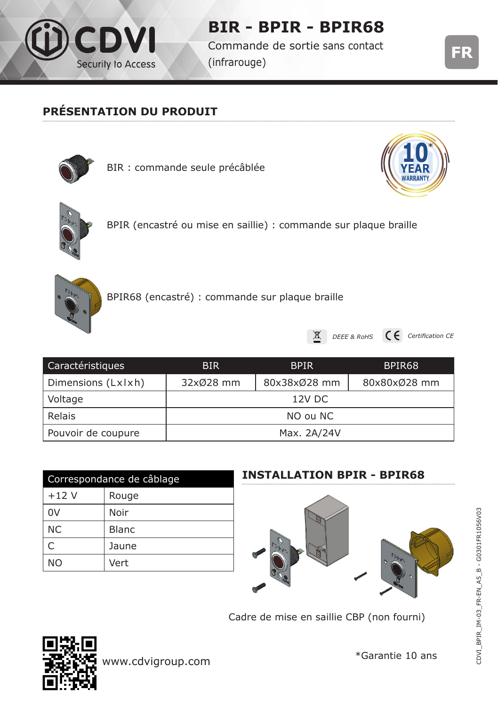

# **BIR - BPIR - BPIR68**

Commande de sortie sans contact (infrarouge)



## **PRÉSENTATION DU PRODUIT**



BIR : commande seule précâblée





BPIR (encastré ou mise en saillie) : commande sur plaque braille



BPIR68 (encastré) : commande sur plaque braille



DEEE & RoHS **C**C Certification CE

| Caractéristiques   | BIR.        | <b>BPIR</b>  | BPIR <sub>68</sub> |
|--------------------|-------------|--------------|--------------------|
| Dimensions (Lxlxh) | 32x028 mm   | 80x38xØ28 mm | 80x80x028 mm       |
| Voltage            | 12V DC      |              |                    |
| Relais             | NO ou NC    |              |                    |
| Pouvoir de coupure | Max. 2A/24V |              |                    |

| Correspondance de câblage |              |  |
|---------------------------|--------------|--|
| $+12V$                    | Rouge        |  |
| 0V                        | Noir         |  |
| <b>NC</b>                 | <b>Blanc</b> |  |
| C                         | Jaune        |  |
| NΟ                        | Vert         |  |

#### **INSTALLATION BPIR - BPIR68**



Cadre de mise en saillie CBP (non fourni)



\*Garantie 10 ans www.cdvigroup.com